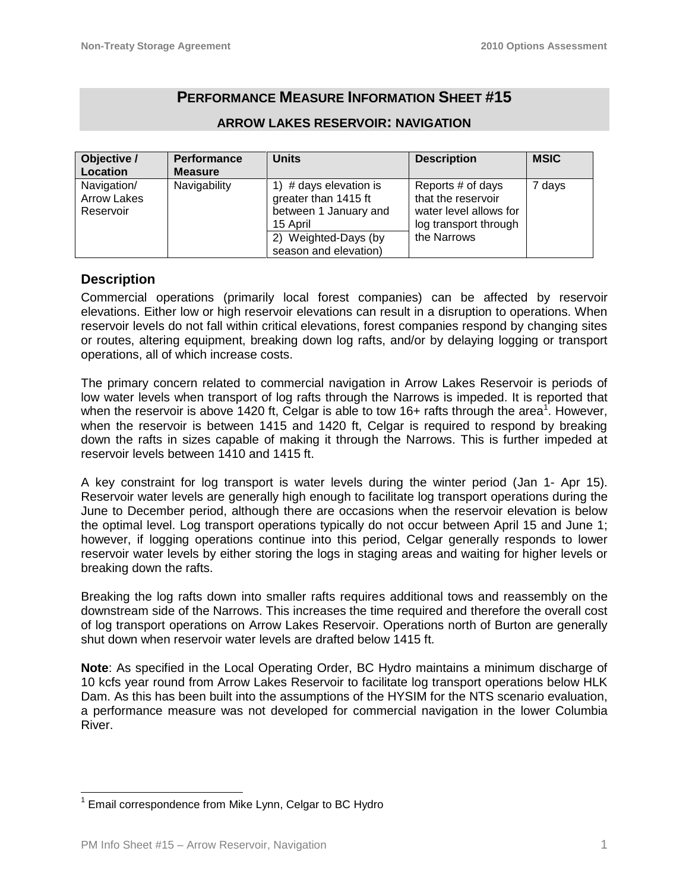# **PERFORMANCE MEASURE INFORMATION SHEET #15**

| Objective /        | <b>Performance</b> | <b>Units</b>              | <b>Description</b>     | <b>MSIC</b> |
|--------------------|--------------------|---------------------------|------------------------|-------------|
| Location           | <b>Measure</b>     |                           |                        |             |
| Navigation/        | Navigability       | # days elevation is<br>1) | Reports # of days      | 7 days      |
| <b>Arrow Lakes</b> |                    | greater than 1415 ft      | that the reservoir     |             |
| Reservoir          |                    | between 1 January and     | water level allows for |             |
|                    |                    | 15 April                  | log transport through  |             |
|                    |                    | 2) Weighted-Days (by      | the Narrows            |             |
|                    |                    | season and elevation)     |                        |             |

### **ARROW LAKES RESERVOIR: NAVIGATION**

### **Description**

Commercial operations (primarily local forest companies) can be affected by reservoir elevations. Either low or high reservoir elevations can result in a disruption to operations. When reservoir levels do not fall within critical elevations, forest companies respond by changing sites or routes, altering equipment, breaking down log rafts, and/or by delaying logging or transport operations, all of which increase costs.

The primary concern related to commercial navigation in Arrow Lakes Reservoir is periods of low water levels when transport of log rafts through the Narrows is impeded. It is reported that when the reservoir is above 1420 ft, Celgar is able to tow 16+ rafts through the area<sup>1</sup>. However, when the reservoir is between 1415 and 1420 ft, Celgar is required to respond by breaking down the rafts in sizes capable of making it through the Narrows. This is further impeded at reservoir levels between 1410 and 1415 ft.

A key constraint for log transport is water levels during the winter period (Jan 1- Apr 15). Reservoir water levels are generally high enough to facilitate log transport operations during the June to December period, although there are occasions when the reservoir elevation is below the optimal level. Log transport operations typically do not occur between April 15 and June 1; however, if logging operations continue into this period, Celgar generally responds to lower reservoir water levels by either storing the logs in staging areas and waiting for higher levels or breaking down the rafts.

Breaking the log rafts down into smaller rafts requires additional tows and reassembly on the downstream side of the Narrows. This increases the time required and therefore the overall cost of log transport operations on Arrow Lakes Reservoir. Operations north of Burton are generally shut down when reservoir water levels are drafted below 1415 ft.

**Note**: As specified in the Local Operating Order, BC Hydro maintains a minimum discharge of 10 kcfs year round from Arrow Lakes Reservoir to facilitate log transport operations below HLK Dam. As this has been built into the assumptions of the HYSIM for the NTS scenario evaluation, a performance measure was not developed for commercial navigation in the lower Columbia River.

<sup>&</sup>lt;sup>1</sup> Email correspondence from Mike Lynn, Celgar to BC Hydro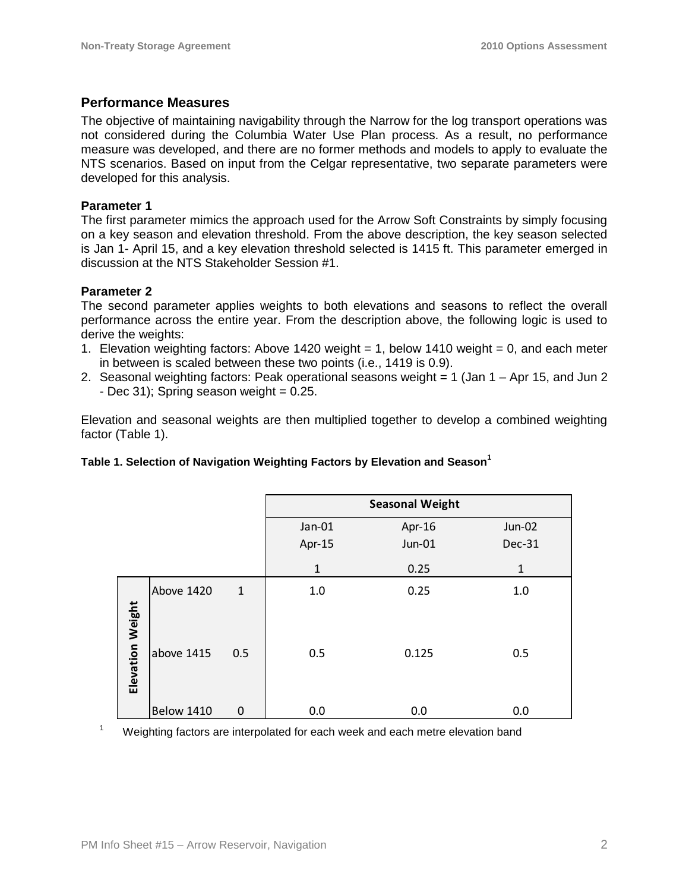## **Performance Measures**

The objective of maintaining navigability through the Narrow for the log transport operations was not considered during the Columbia Water Use Plan process. As a result, no performance measure was developed, and there are no former methods and models to apply to evaluate the NTS scenarios. Based on input from the Celgar representative, two separate parameters were developed for this analysis.

### **Parameter 1**

The first parameter mimics the approach used for the Arrow Soft Constraints by simply focusing on a key season and elevation threshold. From the above description, the key season selected is Jan 1- April 15, and a key elevation threshold selected is 1415 ft. This parameter emerged in discussion at the NTS Stakeholder Session #1.

### **Parameter 2**

The second parameter applies weights to both elevations and seasons to reflect the overall performance across the entire year. From the description above, the following logic is used to derive the weights:

- 1. Elevation weighting factors: Above 1420 weight = 1, below 1410 weight = 0, and each meter in between is scaled between these two points (i.e., 1419 is 0.9).
- 2. Seasonal weighting factors: Peak operational seasons weight = 1 (Jan 1 Apr 15, and Jun 2  $-$  Dec 31); Spring season weight = 0.25.

Elevation and seasonal weights are then multiplied together to develop a combined weighting factor (Table 1).

#### **Table 1. Selection of Navigation Weighting Factors by Elevation and Season<sup>1</sup>**

|                         |                   |              | <b>Seasonal Weight</b> |                  |                                |
|-------------------------|-------------------|--------------|------------------------|------------------|--------------------------------|
|                         |                   |              | Jan-01<br>Apr-15       | Apr-16<br>Jun-01 | <b>Jun-02</b><br><b>Dec-31</b> |
|                         |                   |              | $\mathbf{1}$           | 0.25             | $\mathbf{1}$                   |
|                         | Above 1420        | $\mathbf{1}$ | 1.0                    | 0.25             | 1.0                            |
| <b>Elevation Weight</b> | above 1415        | 0.5          | 0.5                    | 0.125            | 0.5                            |
|                         | <b>Below 1410</b> | $\mathbf 0$  | 0.0                    | 0.0              | 0.0                            |

<sup>1</sup> Weighting factors are interpolated for each week and each metre elevation band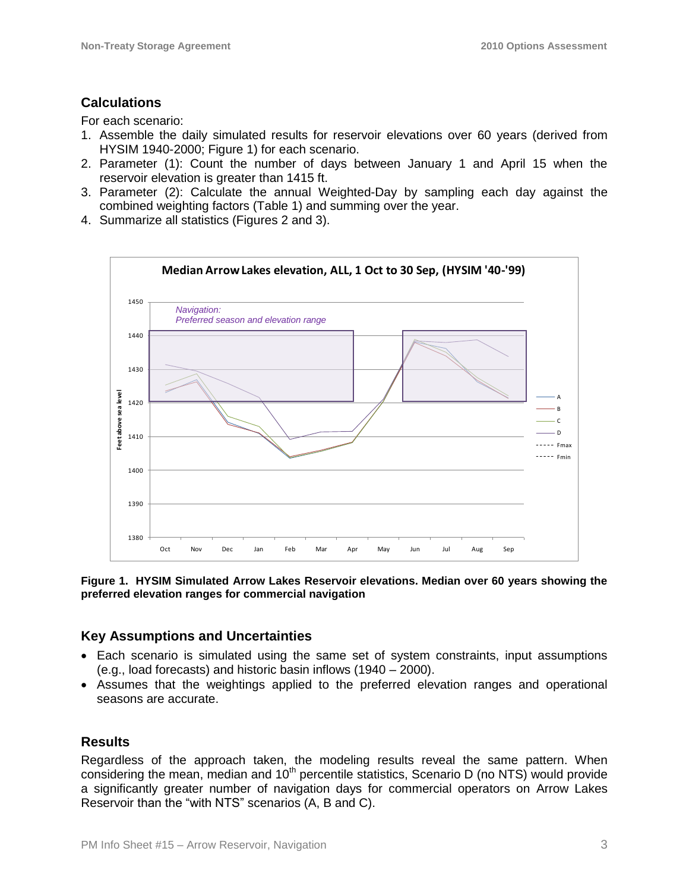# **Calculations**

For each scenario:

- 1. Assemble the daily simulated results for reservoir elevations over 60 years (derived from HYSIM 1940-2000; Figure 1) for each scenario.
- 2. Parameter (1): Count the number of days between January 1 and April 15 when the reservoir elevation is greater than 1415 ft.
- 3. Parameter (2): Calculate the annual Weighted-Day by sampling each day against the combined weighting factors (Table 1) and summing over the year.
- 4. Summarize all statistics (Figures 2 and 3).



**Figure 1. HYSIM Simulated Arrow Lakes Reservoir elevations. Median over 60 years showing the preferred elevation ranges for commercial navigation**

## **Key Assumptions and Uncertainties**

- Each scenario is simulated using the same set of system constraints, input assumptions (e.g., load forecasts) and historic basin inflows (1940 – 2000).
- Assumes that the weightings applied to the preferred elevation ranges and operational seasons are accurate.

## **Results**

Regardless of the approach taken, the modeling results reveal the same pattern. When considering the mean, median and  $10<sup>th</sup>$  percentile statistics, Scenario D (no NTS) would provide a significantly greater number of navigation days for commercial operators on Arrow Lakes Reservoir than the "with NTS" scenarios (A, B and C).